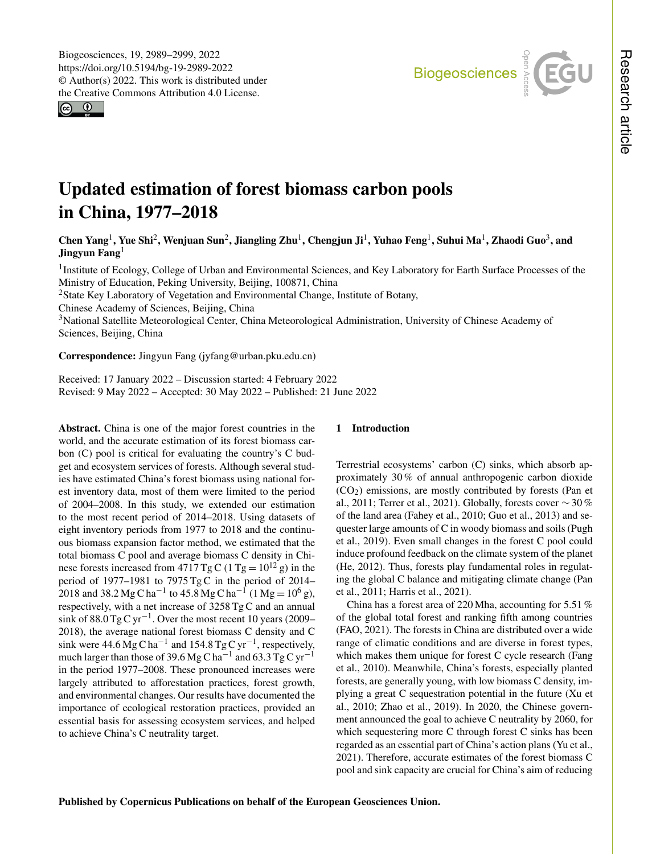$\circledcirc$ 



# Updated estimation of forest biomass carbon pools in China, 1977–2018

# Chen Yang<sup>[1](#page-0-0)</sup>, Yue Shi<sup>[2](#page-0-0)</sup>, Wenjuan Sun<sup>2</sup>, Jiangling Zhu<sup>1</sup>, Chengjun Ji<sup>1</sup>, Yuhao Feng<sup>1</sup>, Suhui Ma<sup>1</sup>, Zhaodi Guo<sup>[3](#page-0-0)</sup>, and Jingyun Fang $<sup>1</sup>$  $<sup>1</sup>$  $<sup>1</sup>$ </sup>

<sup>1</sup>Institute of Ecology, College of Urban and Environmental Sciences, and Key Laboratory for Earth Surface Processes of the Ministry of Education, Peking University, Beijing, 100871, China

<sup>2</sup>State Key Laboratory of Vegetation and Environmental Change, Institute of Botany,

Chinese Academy of Sciences, Beijing, China

<sup>3</sup>National Satellite Meteorological Center, China Meteorological Administration, University of Chinese Academy of Sciences, Beijing, China

Correspondence: Jingyun Fang (jyfang@urban.pku.edu.cn)

Received: 17 January 2022 – Discussion started: 4 February 2022 Revised: 9 May 2022 – Accepted: 30 May 2022 – Published: 21 June 2022

<span id="page-0-0"></span>Abstract. China is one of the major forest countries in the world, and the accurate estimation of its forest biomass carbon (C) pool is critical for evaluating the country's C budget and ecosystem services of forests. Although several studies have estimated China's forest biomass using national forest inventory data, most of them were limited to the period of 2004–2008. In this study, we extended our estimation to the most recent period of 2014–2018. Using datasets of eight inventory periods from 1977 to 2018 and the continuous biomass expansion factor method, we estimated that the total biomass C pool and average biomass C density in Chinese forests increased from  $4717 \text{ Tg} \text{C}$  (1 Tg =  $10^{12}$  g) in the period of 1977–1981 to  $7975$  TgC in the period of 2014– 2018 and 38.2 Mg C ha<sup>-1</sup> to 45.8 Mg C ha<sup>-1</sup> (1 Mg =  $10^6$  g), respectively, with a net increase of 3258 Tg C and an annual sink of  $88.0$  Tg C yr<sup>-1</sup>. Over the most recent 10 years (2009– 2018), the average national forest biomass C density and C sink were  $44.6 \text{ Mg C} \text{ ha}^{-1}$  and  $154.8 \text{ Tg C yr}^{-1}$ , respectively, much larger than those of 39.6 Mg C ha<sup>-1</sup> and 63.3 Tg C yr<sup>-1</sup> in the period 1977–2008. These pronounced increases were largely attributed to afforestation practices, forest growth, and environmental changes. Our results have documented the importance of ecological restoration practices, provided an essential basis for assessing ecosystem services, and helped to achieve China's C neutrality target.

# 1 Introduction

Terrestrial ecosystems' carbon (C) sinks, which absorb approximately 30 % of annual anthropogenic carbon dioxide  $(CO<sub>2</sub>)$  emissions, are mostly contributed by forests (Pan et al., 2011; Terrer et al., 2021). Globally, forests cover ∼ 30 % of the land area (Fahey et al., 2010; Guo et al., 2013) and sequester large amounts of C in woody biomass and soils (Pugh et al., 2019). Even small changes in the forest C pool could induce profound feedback on the climate system of the planet (He, 2012). Thus, forests play fundamental roles in regulating the global C balance and mitigating climate change (Pan et al., 2011; Harris et al., 2021).

China has a forest area of 220 Mha, accounting for 5.51 % of the global total forest and ranking fifth among countries (FAO, 2021). The forests in China are distributed over a wide range of climatic conditions and are diverse in forest types, which makes them unique for forest C cycle research (Fang et al., 2010). Meanwhile, China's forests, especially planted forests, are generally young, with low biomass C density, implying a great C sequestration potential in the future (Xu et al., 2010; Zhao et al., 2019). In 2020, the Chinese government announced the goal to achieve C neutrality by 2060, for which sequestering more C through forest C sinks has been regarded as an essential part of China's action plans (Yu et al., 2021). Therefore, accurate estimates of the forest biomass C pool and sink capacity are crucial for China's aim of reducing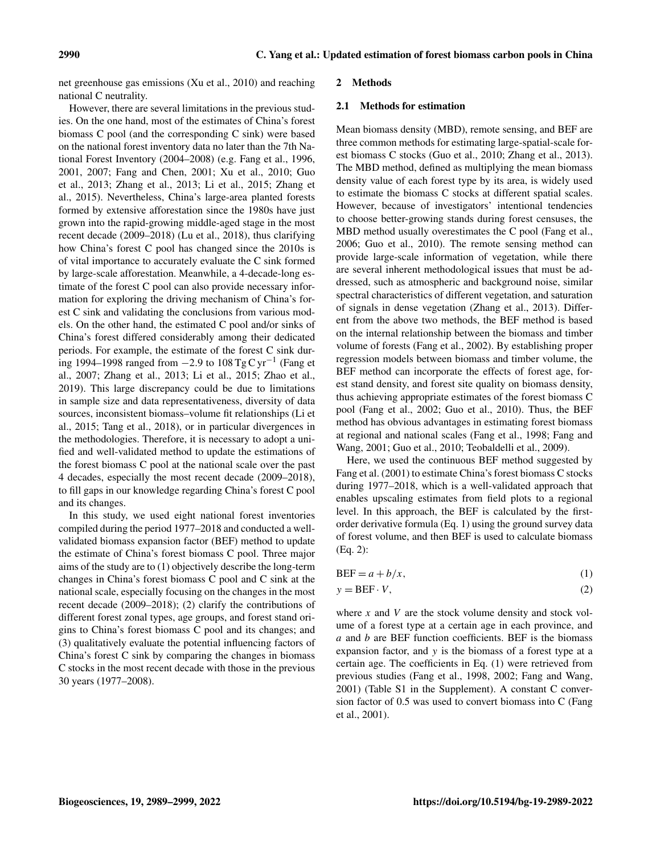net greenhouse gas emissions (Xu et al., 2010) and reaching national C neutrality.

However, there are several limitations in the previous studies. On the one hand, most of the estimates of China's forest biomass C pool (and the corresponding C sink) were based on the national forest inventory data no later than the 7th National Forest Inventory (2004–2008) (e.g. Fang et al., 1996, 2001, 2007; Fang and Chen, 2001; Xu et al., 2010; Guo et al., 2013; Zhang et al., 2013; Li et al., 2015; Zhang et al., 2015). Nevertheless, China's large-area planted forests formed by extensive afforestation since the 1980s have just grown into the rapid-growing middle-aged stage in the most recent decade (2009–2018) (Lu et al., 2018), thus clarifying how China's forest C pool has changed since the 2010s is of vital importance to accurately evaluate the C sink formed by large-scale afforestation. Meanwhile, a 4-decade-long estimate of the forest C pool can also provide necessary information for exploring the driving mechanism of China's forest C sink and validating the conclusions from various models. On the other hand, the estimated C pool and/or sinks of China's forest differed considerably among their dedicated periods. For example, the estimate of the forest C sink during 1994–1998 ranged from  $-2.9$  to 108 Tg C yr<sup>-1</sup> (Fang et al., 2007; Zhang et al., 2013; Li et al., 2015; Zhao et al., 2019). This large discrepancy could be due to limitations in sample size and data representativeness, diversity of data sources, inconsistent biomass–volume fit relationships (Li et al., 2015; Tang et al., 2018), or in particular divergences in the methodologies. Therefore, it is necessary to adopt a unified and well-validated method to update the estimations of the forest biomass C pool at the national scale over the past 4 decades, especially the most recent decade (2009–2018), to fill gaps in our knowledge regarding China's forest C pool and its changes.

In this study, we used eight national forest inventories compiled during the period 1977–2018 and conducted a wellvalidated biomass expansion factor (BEF) method to update the estimate of China's forest biomass C pool. Three major aims of the study are to (1) objectively describe the long-term changes in China's forest biomass C pool and C sink at the national scale, especially focusing on the changes in the most recent decade (2009–2018); (2) clarify the contributions of different forest zonal types, age groups, and forest stand origins to China's forest biomass C pool and its changes; and (3) qualitatively evaluate the potential influencing factors of China's forest C sink by comparing the changes in biomass C stocks in the most recent decade with those in the previous 30 years (1977–2008).

#### 2 Methods

## 2.1 Methods for estimation

Mean biomass density (MBD), remote sensing, and BEF are three common methods for estimating large-spatial-scale forest biomass C stocks (Guo et al., 2010; Zhang et al., 2013). The MBD method, defined as multiplying the mean biomass density value of each forest type by its area, is widely used to estimate the biomass C stocks at different spatial scales. However, because of investigators' intentional tendencies to choose better-growing stands during forest censuses, the MBD method usually overestimates the C pool (Fang et al., 2006; Guo et al., 2010). The remote sensing method can provide large-scale information of vegetation, while there are several inherent methodological issues that must be addressed, such as atmospheric and background noise, similar spectral characteristics of different vegetation, and saturation of signals in dense vegetation (Zhang et al., 2013). Different from the above two methods, the BEF method is based on the internal relationship between the biomass and timber volume of forests (Fang et al., 2002). By establishing proper regression models between biomass and timber volume, the BEF method can incorporate the effects of forest age, forest stand density, and forest site quality on biomass density, thus achieving appropriate estimates of the forest biomass C pool (Fang et al., 2002; Guo et al., 2010). Thus, the BEF method has obvious advantages in estimating forest biomass at regional and national scales (Fang et al., 1998; Fang and Wang, 2001; Guo et al., 2010; Teobaldelli et al., 2009).

Here, we used the continuous BEF method suggested by Fang et al. (2001) to estimate China's forest biomass C stocks during 1977–2018, which is a well-validated approach that enables upscaling estimates from field plots to a regional level. In this approach, the BEF is calculated by the firstorder derivative formula (Eq. 1) using the ground survey data of forest volume, and then BEF is used to calculate biomass (Eq. 2):

| $BEF = a + b/x,$<br>(1) |
|-------------------------|
|-------------------------|

$$
y = BEF \cdot V,\tag{2}
$$

where  $x$  and  $V$  are the stock volume density and stock volume of a forest type at a certain age in each province, and  $a$  and  $b$  are BEF function coefficients. BEF is the biomass expansion factor, and y is the biomass of a forest type at a certain age. The coefficients in Eq. (1) were retrieved from previous studies (Fang et al., 1998, 2002; Fang and Wang, 2001) (Table S1 in the Supplement). A constant C conversion factor of 0.5 was used to convert biomass into C (Fang et al., 2001).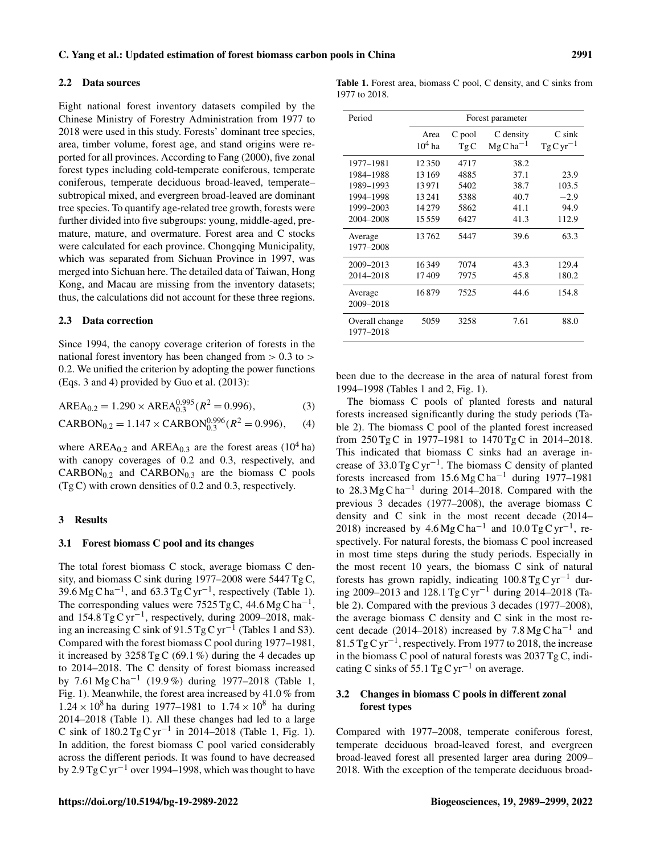#### 2.2 Data sources

Eight national forest inventory datasets compiled by the Chinese Ministry of Forestry Administration from 1977 to 2018 were used in this study. Forests' dominant tree species, area, timber volume, forest age, and stand origins were reported for all provinces. According to Fang (2000), five zonal forest types including cold-temperate coniferous, temperate coniferous, temperate deciduous broad-leaved, temperate– subtropical mixed, and evergreen broad-leaved are dominant tree species. To quantify age-related tree growth, forests were further divided into five subgroups: young, middle-aged, premature, mature, and overmature. Forest area and C stocks were calculated for each province. Chongqing Municipality, which was separated from Sichuan Province in 1997, was merged into Sichuan here. The detailed data of Taiwan, Hong Kong, and Macau are missing from the inventory datasets; thus, the calculations did not account for these three regions.

## 2.3 Data correction

Since 1994, the canopy coverage criterion of forests in the national forest inventory has been changed from  $> 0.3$  to  $>$ 0.2. We unified the criterion by adopting the power functions (Eqs. 3 and 4) provided by Guo et al. (2013):

$$
AREA_{0.2} = 1.290 \times AREA_{0.3}^{0.995} (R^2 = 0.996),
$$
 (3)

$$
CARBON_{0.2} = 1.147 \times CARBON_{0.3}^{0.996} (R^2 = 0.996),
$$
 (4)

where AREA<sub>0.2</sub> and AREA<sub>0.3</sub> are the forest areas (10<sup>4</sup> ha) with canopy coverages of 0.2 and 0.3, respectively, and  $CARBON<sub>0.2</sub>$  and  $CARBON<sub>0.3</sub>$  are the biomass C pools (Tg C) with crown densities of 0.2 and 0.3, respectively.

## 3 Results

#### 3.1 Forest biomass C pool and its changes

The total forest biomass C stock, average biomass C density, and biomass C sink during 1977–2008 were 5447 Tg C, 39.6 Mg C ha<sup>-1</sup>, and 63.3 Tg C yr<sup>-1</sup>, respectively (Table 1). The corresponding values were  $7525$  Tg C, 44.6 Mg C ha<sup>-1</sup>, and  $154.8 \text{ Tg C yr}^{-1}$ , respectively, during 2009–2018, making an increasing C sink of 91.5  $TgCyr^{-1}$  (Tables 1 and S3). Compared with the forest biomass C pool during 1977–1981, it increased by  $3258 \text{ TgC} (69.1 \%)$  during the 4 decades up to 2014–2018. The C density of forest biomass increased by 7.61 Mg C ha−<sup>1</sup> (19.9 %) during 1977–2018 (Table 1, Fig. 1). Meanwhile, the forest area increased by 41.0 % from  $1.24 \times 10^8$  ha during 1977–1981 to  $1.74 \times 10^8$  ha during 2014–2018 (Table 1). All these changes had led to a large C sink of  $180.2$  Tg C yr<sup>-1</sup> in 2014–2018 (Table 1, Fig. 1). In addition, the forest biomass C pool varied considerably across the different periods. It was found to have decreased by 2.9 Tg C yr<sup>-1</sup> over 1994–1998, which was thought to have

Table 1. Forest area, biomass C pool, C density, and C sinks from 1977 to 2018.

| Period                      | Forest parameter  |               |                           |                            |  |  |  |  |  |  |
|-----------------------------|-------------------|---------------|---------------------------|----------------------------|--|--|--|--|--|--|
|                             | Area<br>$10^4$ ha | C pool<br>TgC | C density<br>$MgCha^{-1}$ | $C \sin k$<br>$TgCyr^{-1}$ |  |  |  |  |  |  |
| 1977–1981                   | 12350             | 4717          | 38.2                      |                            |  |  |  |  |  |  |
| 1984-1988                   | 13169             | 4885          | 37.1                      | 23.9                       |  |  |  |  |  |  |
| 1989-1993                   | 13971             | 5402          | 38.7                      | 103.5                      |  |  |  |  |  |  |
| 1994-1998                   | 13241             | 5388          | 40.7                      | $-2.9$                     |  |  |  |  |  |  |
| 1999-2003                   | 14279             | 5862          | 41.1                      | 94.9                       |  |  |  |  |  |  |
| 2004-2008                   | 15559             | 6427          | 41.3                      | 112.9                      |  |  |  |  |  |  |
| Average<br>1977-2008        | 13762             | 5447          | 39.6                      | 63.3                       |  |  |  |  |  |  |
| 2009-2013                   | 16349             | 7074          | 43.3                      | 129.4                      |  |  |  |  |  |  |
| 2014-2018                   | 17409             | 7975          | 45.8                      | 180.2                      |  |  |  |  |  |  |
| Average<br>2009-2018        | 16879             | 7525          | 44.6                      | 154.8                      |  |  |  |  |  |  |
| Overall change<br>1977-2018 | 5059              | 3258          | 7.61                      | 88.0                       |  |  |  |  |  |  |

been due to the decrease in the area of natural forest from 1994–1998 (Tables 1 and 2, Fig. 1).

The biomass C pools of planted forests and natural forests increased significantly during the study periods (Table 2). The biomass C pool of the planted forest increased from 250 Tg C in 1977–1981 to 1470 Tg C in 2014–2018. This indicated that biomass C sinks had an average increase of 33.0 Tg C yr−<sup>1</sup> . The biomass C density of planted forests increased from 15.6 Mg C ha<sup>-1</sup> during 1977–1981 to 28.3 Mg C ha<sup> $-1$ </sup> during 2014–2018. Compared with the previous 3 decades (1977–2008), the average biomass C density and C sink in the most recent decade (2014– 2018) increased by  $4.6 \text{Mg}\text{C} \text{h} \text{a}^{-1}$  and  $10.0 \text{Tg}\text{C} \text{yr}^{-1}$ , respectively. For natural forests, the biomass C pool increased in most time steps during the study periods. Especially in the most recent 10 years, the biomass C sink of natural forests has grown rapidly, indicating  $100.8$  Tg C yr<sup>-1</sup> during 2009–2013 and 128.1 Tg C yr−<sup>1</sup> during 2014–2018 (Table 2). Compared with the previous 3 decades (1977–2008), the average biomass C density and C sink in the most recent decade (2014–2018) increased by  $7.8 \text{ Mg C} \text{ ha}^{-1}$  and 81.5 Tg C yr−<sup>1</sup> , respectively. From 1977 to 2018, the increase in the biomass C pool of natural forests was 2037 Tg C, indicating C sinks of 55.1 Tg C yr<sup>-1</sup> on average.

# 3.2 Changes in biomass C pools in different zonal forest types

Compared with 1977–2008, temperate coniferous forest, temperate deciduous broad-leaved forest, and evergreen broad-leaved forest all presented larger area during 2009– 2018. With the exception of the temperate deciduous broad-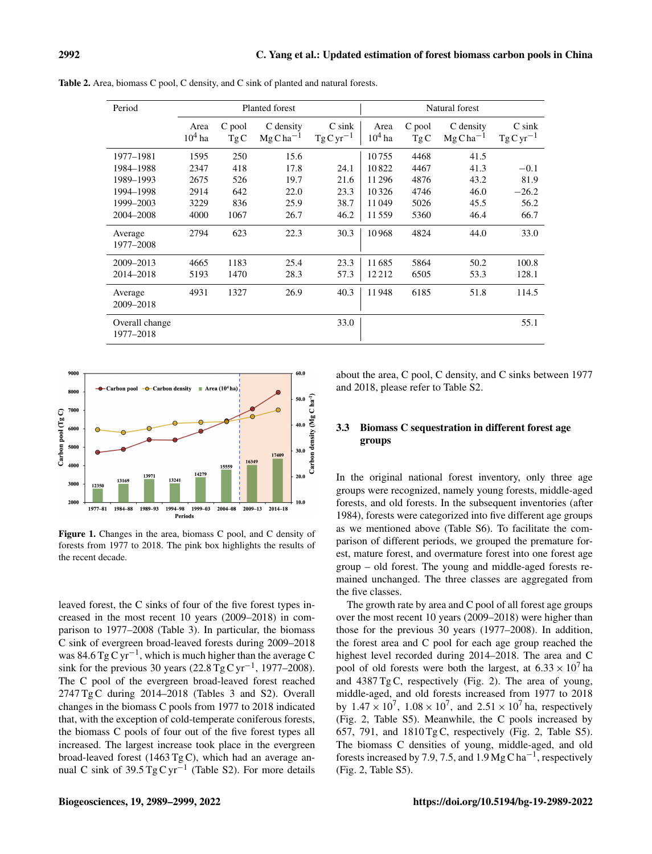| Period                      |                  |               | Planted forest            |                                | Natural forest   |               |                                     |                                |  |  |
|-----------------------------|------------------|---------------|---------------------------|--------------------------------|------------------|---------------|-------------------------------------|--------------------------------|--|--|
|                             | Area<br>$104$ ha | C pool<br>TgC | C density<br>$MgCha^{-1}$ | $C \,$ sin $k$<br>$TgCyr^{-1}$ | Area<br>$104$ ha | C pool<br>TgC | C density<br>$MgC$ ha <sup>-1</sup> | $C \,$ sin $k$<br>$TgCyr^{-1}$ |  |  |
| 1977-1981                   | 1595             | 250           | 15.6                      |                                | 10755            | 4468          | 41.5                                |                                |  |  |
| 1984-1988                   | 2347             | 418           | 17.8                      | 24.1                           | 10822            | 4467          | 41.3                                | $-0.1$                         |  |  |
| 1989-1993                   | 2675             | 526           | 19.7                      | 21.6                           | 11296            | 4876          | 43.2                                | 81.9                           |  |  |
| 1994-1998                   | 2914             | 642           | 22.0                      | 23.3                           | 10326            | 4746          | 46.0                                | $-26.2$                        |  |  |
| 1999-2003                   | 3229             | 836           | 25.9                      | 38.7                           | 11049            | 5026          | 45.5                                | 56.2                           |  |  |
| 2004-2008                   | 4000             | 1067          | 26.7                      | 46.2                           | 11559            | 5360          | 46.4                                | 66.7                           |  |  |
| Average<br>1977–2008        | 2794             | 623           | 22.3                      | 30.3                           | 10968            | 4824          | 44.0                                | 33.0                           |  |  |
| 2009-2013                   | 4665             | 1183          | 25.4                      | 23.3                           | 11685            | 5864          | 50.2                                | 100.8                          |  |  |
| 2014-2018                   | 5193             | 1470          | 28.3                      | 57.3                           | 12212            | 6505          | 53.3                                | 128.1                          |  |  |
| Average<br>2009-2018        | 4931             | 1327          | 26.9                      | 40.3                           | 11948            | 6185          | 51.8                                | 114.5                          |  |  |
| Overall change<br>1977-2018 |                  |               |                           | 33.0                           |                  |               |                                     | 55.1                           |  |  |

Table 2. Area, biomass C pool, C density, and C sink of planted and natural forests.



Figure 1. Changes in the area, biomass C pool, and C density of forests from 1977 to 2018. The pink box highlights the results of the recent decade.

leaved forest, the C sinks of four of the five forest types increased in the most recent 10 years (2009–2018) in comparison to 1977–2008 (Table 3). In particular, the biomass C sink of evergreen broad-leaved forests during 2009–2018 was 84.6 Tg C yr−<sup>1</sup> , which is much higher than the average C sink for the previous 30 years (22.8  $TgCyr^{-1}$ , 1977–2008). The C pool of the evergreen broad-leaved forest reached 2747 Tg C during 2014–2018 (Tables 3 and S2). Overall changes in the biomass C pools from 1977 to 2018 indicated that, with the exception of cold-temperate coniferous forests, the biomass C pools of four out of the five forest types all increased. The largest increase took place in the evergreen broad-leaved forest (1463 Tg C), which had an average annual C sink of  $39.5$  Tg C yr<sup>-1</sup> (Table S2). For more details

about the area, C pool, C density, and C sinks between 1977 and 2018, please refer to Table S2.

## 3.3 Biomass C sequestration in different forest age groups

In the original national forest inventory, only three age groups were recognized, namely young forests, middle-aged forests, and old forests. In the subsequent inventories (after 1984), forests were categorized into five different age groups as we mentioned above (Table S6). To facilitate the comparison of different periods, we grouped the premature forest, mature forest, and overmature forest into one forest age group – old forest. The young and middle-aged forests remained unchanged. The three classes are aggregated from the five classes.

The growth rate by area and C pool of all forest age groups over the most recent 10 years (2009–2018) were higher than those for the previous 30 years (1977–2008). In addition, the forest area and C pool for each age group reached the highest level recorded during 2014–2018. The area and C pool of old forests were both the largest, at  $6.33 \times 10^7$  ha and 4387 Tg C, respectively (Fig. 2). The area of young, middle-aged, and old forests increased from 1977 to 2018 by  $1.47 \times 10^7$ ,  $1.08 \times 10^7$ , and  $2.51 \times 10^7$  ha, respectively (Fig. 2, Table S5). Meanwhile, the C pools increased by 657, 791, and 1810 Tg C, respectively (Fig. 2, Table S5). The biomass C densities of young, middle-aged, and old forests increased by 7.9, 7.5, and  $1.9 \text{ Mg C} \, \text{ha}^{-1}$ , respectively (Fig. 2, Table S5).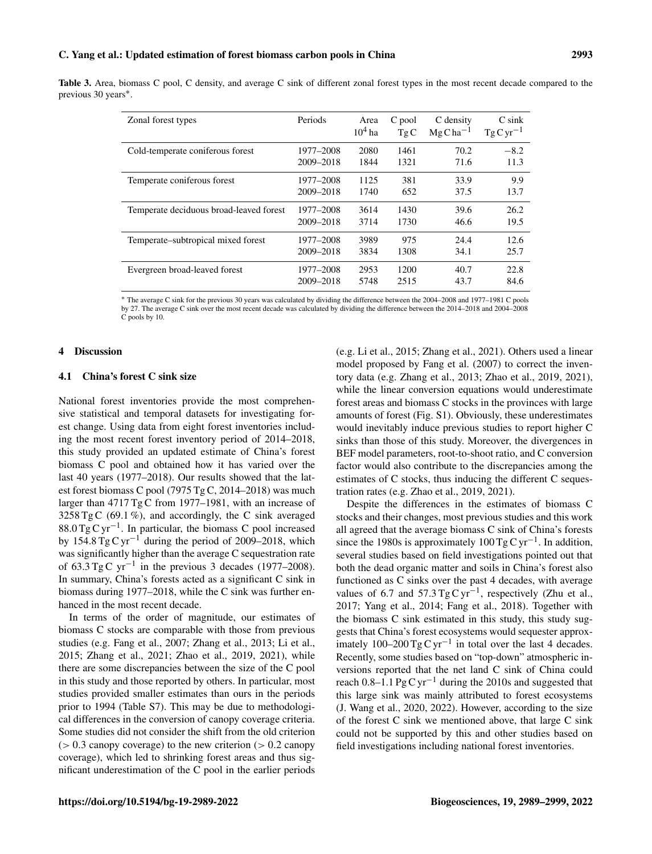|                                  |  |  |  |  |  |  |  | Table 3. Area, biomass C pool, C density, and average C sink of different zonal forest types in the most recent decade compared to the |  |
|----------------------------------|--|--|--|--|--|--|--|----------------------------------------------------------------------------------------------------------------------------------------|--|
| previous 30 years <sup>*</sup> . |  |  |  |  |  |  |  |                                                                                                                                        |  |

| Zonal forest types                      | Periods   | Area<br>$104$ ha | C pool<br>TgC | C density<br>$MgCha^{-1}$ | $C \sin k$<br>$TgCyr^{-1}$ |
|-----------------------------------------|-----------|------------------|---------------|---------------------------|----------------------------|
| Cold-temperate coniferous forest        | 1977-2008 | 2080             | 1461          | 70.2                      | $-8.2$                     |
|                                         | 2009-2018 | 1844             | 1321          | 71.6                      | 11.3                       |
| Temperate coniferous forest             | 1977-2008 | 1125             | 381           | 33.9                      | 9.9                        |
|                                         | 2009-2018 | 1740             | 652           | 37.5                      | 13.7                       |
| Temperate deciduous broad-leaved forest | 1977–2008 | 3614             | 1430          | 39.6                      | 26.2                       |
|                                         | 2009-2018 | 3714             | 1730          | 46.6                      | 19.5                       |
| Temperate–subtropical mixed forest      | 1977–2008 | 3989             | 975           | 24.4                      | 12.6                       |
|                                         | 2009-2018 | 3834             | 1308          | 34.1                      | 25.7                       |
| Evergreen broad-leaved forest           | 1977–2008 | 2953             | 1200          | 40.7                      | 22.8                       |
|                                         | 2009-2018 | 5748             | 2515          | 43.7                      | 84.6                       |

<sup>∗</sup> The average C sink for the previous 30 years was calculated by dividing the difference between the 2004–2008 and 1977–1981 C pools by 27. The average C sink over the most recent decade was calculated by dividing the difference between the 2014–2018 and 2004–2008 C pools by 10.

#### 4 Discussion

## 4.1 China's forest C sink size

National forest inventories provide the most comprehensive statistical and temporal datasets for investigating forest change. Using data from eight forest inventories including the most recent forest inventory period of 2014–2018, this study provided an updated estimate of China's forest biomass C pool and obtained how it has varied over the last 40 years (1977–2018). Our results showed that the latest forest biomass C pool (7975 Tg C, 2014–2018) was much larger than 4717 Tg C from 1977–1981, with an increase of  $3258 \text{ Tg C } (69.1 \%)$ , and accordingly, the C sink averaged 88.0 Tg C yr−<sup>1</sup> . In particular, the biomass C pool increased by 154.8 Tg C yr<sup>-1</sup> during the period of 2009–2018, which was significantly higher than the average C sequestration rate of 63.3 Tg C yr<sup>-1</sup> in the previous 3 decades (1977–2008). In summary, China's forests acted as a significant C sink in biomass during 1977–2018, while the C sink was further enhanced in the most recent decade.

In terms of the order of magnitude, our estimates of biomass C stocks are comparable with those from previous studies (e.g. Fang et al., 2007; Zhang et al., 2013; Li et al., 2015; Zhang et al., 2021; Zhao et al., 2019, 2021), while there are some discrepancies between the size of the C pool in this study and those reported by others. In particular, most studies provided smaller estimates than ours in the periods prior to 1994 (Table S7). This may be due to methodological differences in the conversion of canopy coverage criteria. Some studies did not consider the shift from the old criterion  $(> 0.3$  canopy coverage) to the new criterion  $(> 0.2$  canopy coverage), which led to shrinking forest areas and thus significant underestimation of the C pool in the earlier periods

(e.g. Li et al., 2015; Zhang et al., 2021). Others used a linear model proposed by Fang et al. (2007) to correct the inventory data (e.g. Zhang et al., 2013; Zhao et al., 2019, 2021), while the linear conversion equations would underestimate forest areas and biomass C stocks in the provinces with large amounts of forest (Fig. S1). Obviously, these underestimates would inevitably induce previous studies to report higher C sinks than those of this study. Moreover, the divergences in BEF model parameters, root-to-shoot ratio, and C conversion factor would also contribute to the discrepancies among the estimates of C stocks, thus inducing the different C sequestration rates (e.g. Zhao et al., 2019, 2021).

Despite the differences in the estimates of biomass C stocks and their changes, most previous studies and this work all agreed that the average biomass C sink of China's forests since the 1980s is approximately  $100 \text{ Tg C yr}^{-1}$ . In addition, several studies based on field investigations pointed out that both the dead organic matter and soils in China's forest also functioned as C sinks over the past 4 decades, with average values of 6.7 and  $57.3$  Tg C yr<sup>-1</sup>, respectively (Zhu et al., 2017; Yang et al., 2014; Fang et al., 2018). Together with the biomass C sink estimated in this study, this study suggests that China's forest ecosystems would sequester approximately 100–200 Tg C yr<sup>-1</sup> in total over the last 4 decades. Recently, some studies based on "top-down" atmospheric inversions reported that the net land C sink of China could reach 0.8–1.1 Pg C yr<sup>-1</sup> during the 2010s and suggested that this large sink was mainly attributed to forest ecosystems (J. Wang et al., 2020, 2022). However, according to the size of the forest C sink we mentioned above, that large C sink could not be supported by this and other studies based on field investigations including national forest inventories.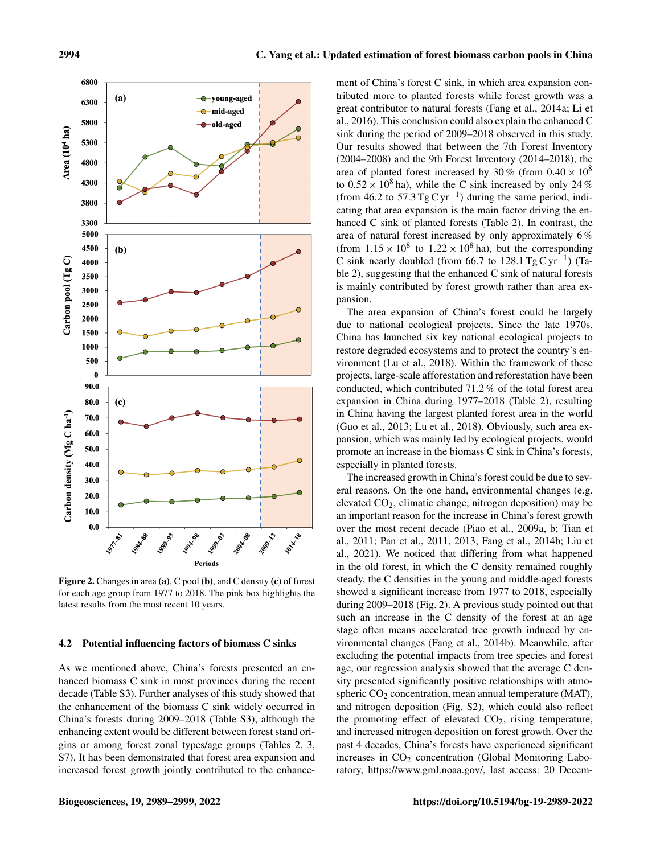

Figure 2. Changes in area (a), C pool (b), and C density (c) of forest for each age group from 1977 to 2018. The pink box highlights the latest results from the most recent 10 years.

#### 4.2 Potential influencing factors of biomass C sinks

As we mentioned above, China's forests presented an enhanced biomass C sink in most provinces during the recent decade (Table S3). Further analyses of this study showed that the enhancement of the biomass C sink widely occurred in China's forests during 2009–2018 (Table S3), although the enhancing extent would be different between forest stand origins or among forest zonal types/age groups (Tables 2, 3, S7). It has been demonstrated that forest area expansion and increased forest growth jointly contributed to the enhance-

ment of China's forest C sink, in which area expansion contributed more to planted forests while forest growth was a great contributor to natural forests (Fang et al., 2014a; Li et al., 2016). This conclusion could also explain the enhanced C sink during the period of 2009–2018 observed in this study. Our results showed that between the 7th Forest Inventory (2004–2008) and the 9th Forest Inventory (2014–2018), the area of planted forest increased by 30 % (from  $0.40 \times 10^8$ ) to  $0.52 \times 10^8$  ha), while the C sink increased by only 24 % (from 46.2 to  $57.3$  Tg C yr<sup>-1</sup>) during the same period, indicating that area expansion is the main factor driving the enhanced C sink of planted forests (Table 2). In contrast, the area of natural forest increased by only approximately 6 % (from  $1.15 \times 10^8$  to  $1.22 \times 10^8$  ha), but the corresponding C sink nearly doubled (from 66.7 to 128.1 Tg C yr<sup>-1</sup>) (Table 2), suggesting that the enhanced C sink of natural forests is mainly contributed by forest growth rather than area expansion.

The area expansion of China's forest could be largely due to national ecological projects. Since the late 1970s, China has launched six key national ecological projects to restore degraded ecosystems and to protect the country's environment (Lu et al., 2018). Within the framework of these projects, large-scale afforestation and reforestation have been conducted, which contributed 71.2 % of the total forest area expansion in China during 1977–2018 (Table 2), resulting in China having the largest planted forest area in the world (Guo et al., 2013; Lu et al., 2018). Obviously, such area expansion, which was mainly led by ecological projects, would promote an increase in the biomass C sink in China's forests, especially in planted forests.

The increased growth in China's forest could be due to several reasons. On the one hand, environmental changes (e.g. elevated CO2, climatic change, nitrogen deposition) may be an important reason for the increase in China's forest growth over the most recent decade (Piao et al., 2009a, b; Tian et al., 2011; Pan et al., 2011, 2013; Fang et al., 2014b; Liu et al., 2021). We noticed that differing from what happened in the old forest, in which the C density remained roughly steady, the C densities in the young and middle-aged forests showed a significant increase from 1977 to 2018, especially during 2009–2018 (Fig. 2). A previous study pointed out that such an increase in the C density of the forest at an age stage often means accelerated tree growth induced by environmental changes (Fang et al., 2014b). Meanwhile, after excluding the potential impacts from tree species and forest age, our regression analysis showed that the average C density presented significantly positive relationships with atmospheric  $CO<sub>2</sub>$  concentration, mean annual temperature (MAT), and nitrogen deposition (Fig. S2), which could also reflect the promoting effect of elevated  $CO<sub>2</sub>$ , rising temperature, and increased nitrogen deposition on forest growth. Over the past 4 decades, China's forests have experienced significant increases in  $CO<sub>2</sub>$  concentration (Global Monitoring Laboratory, [https://www.gml.noaa.gov/,](https://www.gml.noaa.gov/) last access: 20 Decem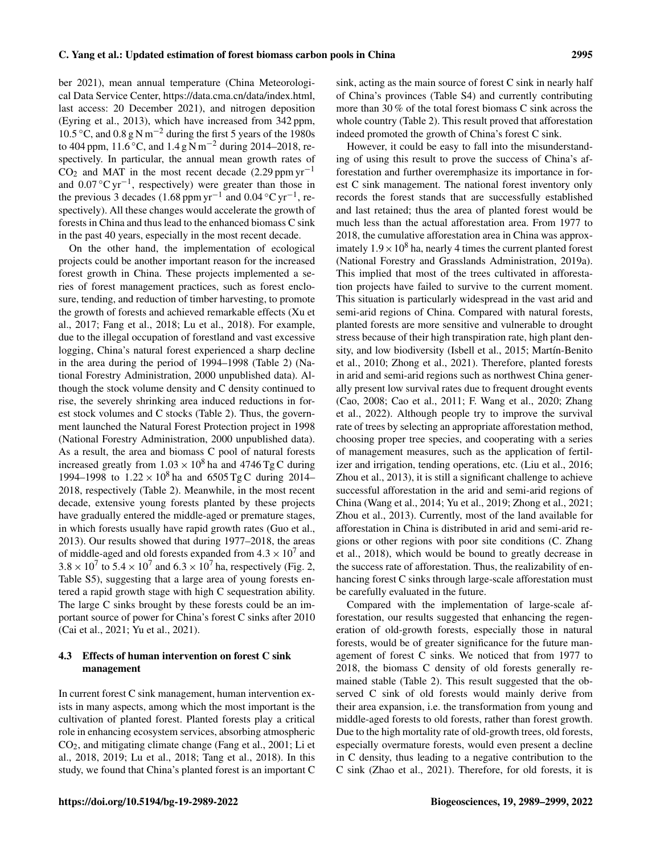C. Yang et al.: Updated estimation of forest biomass carbon pools in China 2995

ber 2021), mean annual temperature (China Meteorological Data Service Center, [https://data.cma.cn/data/index.html,](https://data.cma.cn/data/index.html) last access: 20 December 2021), and nitrogen deposition (Eyring et al., 2013), which have increased from 342 ppm, 10.5 ◦C, and 0.8 g N m−<sup>2</sup> during the first 5 years of the 1980s to 404 ppm, 11.6 ◦C, and 1.4 g N m−<sup>2</sup> during 2014–2018, respectively. In particular, the annual mean growth rates of  $CO<sub>2</sub>$  and MAT in the most recent decade (2.29 ppm yr<sup>-1</sup> and  $0.07 \,^{\circ}\text{C yr}^{-1}$ , respectively) were greater than those in the previous 3 decades (1.68 ppm yr<sup>-1</sup> and 0.04 °C yr<sup>-1</sup>, respectively). All these changes would accelerate the growth of forests in China and thus lead to the enhanced biomass C sink in the past 40 years, especially in the most recent decade.

On the other hand, the implementation of ecological projects could be another important reason for the increased forest growth in China. These projects implemented a series of forest management practices, such as forest enclosure, tending, and reduction of timber harvesting, to promote the growth of forests and achieved remarkable effects (Xu et al., 2017; Fang et al., 2018; Lu et al., 2018). For example, due to the illegal occupation of forestland and vast excessive logging, China's natural forest experienced a sharp decline in the area during the period of 1994–1998 (Table 2) (National Forestry Administration, 2000 unpublished data). Although the stock volume density and C density continued to rise, the severely shrinking area induced reductions in forest stock volumes and C stocks (Table 2). Thus, the government launched the Natural Forest Protection project in 1998 (National Forestry Administration, 2000 unpublished data). As a result, the area and biomass C pool of natural forests increased greatly from  $1.03 \times 10^8$  ha and 4746 Tg C during 1994–1998 to  $1.22 \times 10^8$  ha and 6505 Tg C during 2014– 2018, respectively (Table 2). Meanwhile, in the most recent decade, extensive young forests planted by these projects have gradually entered the middle-aged or premature stages, in which forests usually have rapid growth rates (Guo et al., 2013). Our results showed that during 1977–2018, the areas of middle-aged and old forests expanded from  $4.3 \times 10^7$  and  $3.8 \times 10^7$  to  $5.4 \times 10^7$  and  $6.3 \times 10^7$  ha, respectively (Fig. 2, Table S5), suggesting that a large area of young forests entered a rapid growth stage with high C sequestration ability. The large C sinks brought by these forests could be an important source of power for China's forest C sinks after 2010 (Cai et al., 2021; Yu et al., 2021).

## 4.3 Effects of human intervention on forest C sink management

In current forest C sink management, human intervention exists in many aspects, among which the most important is the cultivation of planted forest. Planted forests play a critical role in enhancing ecosystem services, absorbing atmospheric CO2, and mitigating climate change (Fang et al., 2001; Li et al., 2018, 2019; Lu et al., 2018; Tang et al., 2018). In this study, we found that China's planted forest is an important C sink, acting as the main source of forest C sink in nearly half of China's provinces (Table S4) and currently contributing more than 30 % of the total forest biomass C sink across the whole country (Table 2). This result proved that afforestation indeed promoted the growth of China's forest C sink.

However, it could be easy to fall into the misunderstanding of using this result to prove the success of China's afforestation and further overemphasize its importance in forest C sink management. The national forest inventory only records the forest stands that are successfully established and last retained; thus the area of planted forest would be much less than the actual afforestation area. From 1977 to 2018, the cumulative afforestation area in China was approximately  $1.9 \times 10^8$  ha, nearly 4 times the current planted forest (National Forestry and Grasslands Administration, 2019a). This implied that most of the trees cultivated in afforestation projects have failed to survive to the current moment. This situation is particularly widespread in the vast arid and semi-arid regions of China. Compared with natural forests, planted forests are more sensitive and vulnerable to drought stress because of their high transpiration rate, high plant density, and low biodiversity (Isbell et al., 2015; Martín-Benito et al., 2010; Zhong et al., 2021). Therefore, planted forests in arid and semi-arid regions such as northwest China generally present low survival rates due to frequent drought events (Cao, 2008; Cao et al., 2011; F. Wang et al., 2020; Zhang et al., 2022). Although people try to improve the survival rate of trees by selecting an appropriate afforestation method, choosing proper tree species, and cooperating with a series of management measures, such as the application of fertilizer and irrigation, tending operations, etc. (Liu et al., 2016; Zhou et al., 2013), it is still a significant challenge to achieve successful afforestation in the arid and semi-arid regions of China (Wang et al., 2014; Yu et al., 2019; Zhong et al., 2021; Zhou et al., 2013). Currently, most of the land available for afforestation in China is distributed in arid and semi-arid regions or other regions with poor site conditions (C. Zhang et al., 2018), which would be bound to greatly decrease in the success rate of afforestation. Thus, the realizability of enhancing forest C sinks through large-scale afforestation must be carefully evaluated in the future.

Compared with the implementation of large-scale afforestation, our results suggested that enhancing the regeneration of old-growth forests, especially those in natural forests, would be of greater significance for the future management of forest C sinks. We noticed that from 1977 to 2018, the biomass C density of old forests generally remained stable (Table 2). This result suggested that the observed C sink of old forests would mainly derive from their area expansion, i.e. the transformation from young and middle-aged forests to old forests, rather than forest growth. Due to the high mortality rate of old-growth trees, old forests, especially overmature forests, would even present a decline in C density, thus leading to a negative contribution to the C sink (Zhao et al., 2021). Therefore, for old forests, it is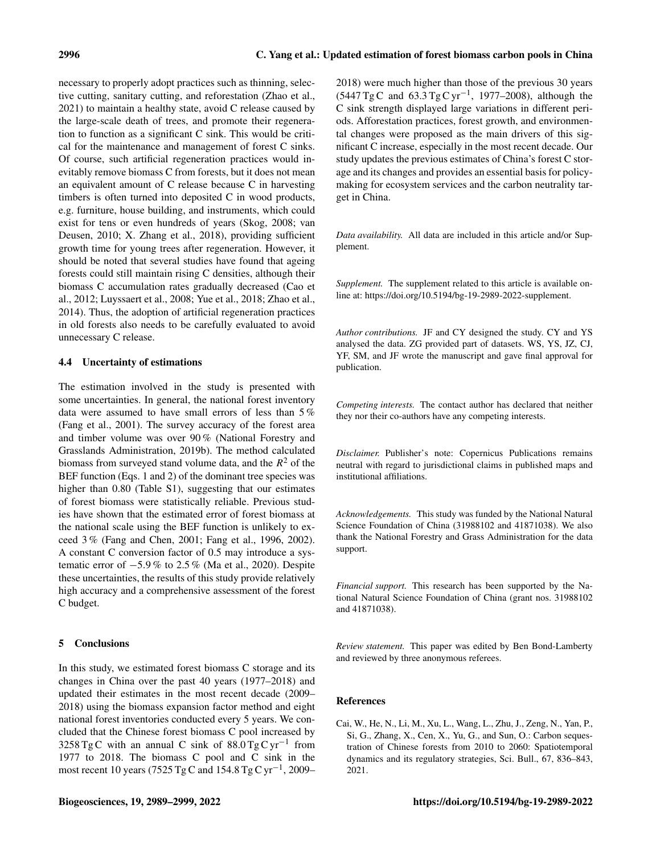necessary to properly adopt practices such as thinning, selective cutting, sanitary cutting, and reforestation (Zhao et al., 2021) to maintain a healthy state, avoid C release caused by the large-scale death of trees, and promote their regeneration to function as a significant C sink. This would be critical for the maintenance and management of forest C sinks. Of course, such artificial regeneration practices would inevitably remove biomass C from forests, but it does not mean an equivalent amount of C release because C in harvesting timbers is often turned into deposited C in wood products, e.g. furniture, house building, and instruments, which could exist for tens or even hundreds of years (Skog, 2008; van Deusen, 2010; X. Zhang et al., 2018), providing sufficient growth time for young trees after regeneration. However, it should be noted that several studies have found that ageing forests could still maintain rising C densities, although their biomass C accumulation rates gradually decreased (Cao et al., 2012; Luyssaert et al., 2008; Yue et al., 2018; Zhao et al., 2014). Thus, the adoption of artificial regeneration practices in old forests also needs to be carefully evaluated to avoid unnecessary C release.

## 4.4 Uncertainty of estimations

The estimation involved in the study is presented with some uncertainties. In general, the national forest inventory data were assumed to have small errors of less than 5 % (Fang et al., 2001). The survey accuracy of the forest area and timber volume was over 90 % (National Forestry and Grasslands Administration, 2019b). The method calculated biomass from surveyed stand volume data, and the  $R^2$  of the BEF function (Eqs. 1 and 2) of the dominant tree species was higher than 0.80 (Table S1), suggesting that our estimates of forest biomass were statistically reliable. Previous studies have shown that the estimated error of forest biomass at the national scale using the BEF function is unlikely to exceed 3 % (Fang and Chen, 2001; Fang et al., 1996, 2002). A constant C conversion factor of 0.5 may introduce a systematic error of  $-5.9\%$  to 2.5 % (Ma et al., 2020). Despite these uncertainties, the results of this study provide relatively high accuracy and a comprehensive assessment of the forest C budget.

# 5 Conclusions

In this study, we estimated forest biomass C storage and its changes in China over the past 40 years (1977–2018) and updated their estimates in the most recent decade (2009– 2018) using the biomass expansion factor method and eight national forest inventories conducted every 5 years. We concluded that the Chinese forest biomass C pool increased by 3258 Tg C with an annual C sink of  $88.0$  Tg C yr<sup>-1</sup> from 1977 to 2018. The biomass C pool and C sink in the most recent 10 years (7525 Tg C and 154.8 Tg C yr<sup>-1</sup>, 2009–

2018) were much higher than those of the previous 30 years (5447 Tg C and 63.3 Tg C yr−<sup>1</sup> , 1977–2008), although the C sink strength displayed large variations in different periods. Afforestation practices, forest growth, and environmental changes were proposed as the main drivers of this significant C increase, especially in the most recent decade. Our study updates the previous estimates of China's forest C storage and its changes and provides an essential basis for policymaking for ecosystem services and the carbon neutrality target in China.

*Data availability.* All data are included in this article and/or Supplement.

*Supplement.* The supplement related to this article is available online at: [https://doi.org/10.5194/bg-19-2989-2022-supplement.](https://doi.org/10.5194/bg-19-2989-2022-supplement)

*Author contributions.* JF and CY designed the study. CY and YS analysed the data. ZG provided part of datasets. WS, YS, JZ, CJ, YF, SM, and JF wrote the manuscript and gave final approval for publication.

*Competing interests.* The contact author has declared that neither they nor their co-authors have any competing interests.

*Disclaimer.* Publisher's note: Copernicus Publications remains neutral with regard to jurisdictional claims in published maps and institutional affiliations.

*Acknowledgements.* This study was funded by the National Natural Science Foundation of China (31988102 and 41871038). We also thank the National Forestry and Grass Administration for the data support.

*Financial support.* This research has been supported by the National Natural Science Foundation of China (grant nos. 31988102 and 41871038).

*Review statement.* This paper was edited by Ben Bond-Lamberty and reviewed by three anonymous referees.

## References

Cai, W., He, N., Li, M., Xu, L., Wang, L., Zhu, J., Zeng, N., Yan, P., Si, G., Zhang, X., Cen, X., Yu, G., and Sun, O.: Carbon sequestration of Chinese forests from 2010 to 2060: Spatiotemporal dynamics and its regulatory strategies, Sci. Bull., 67, 836–843, 2021.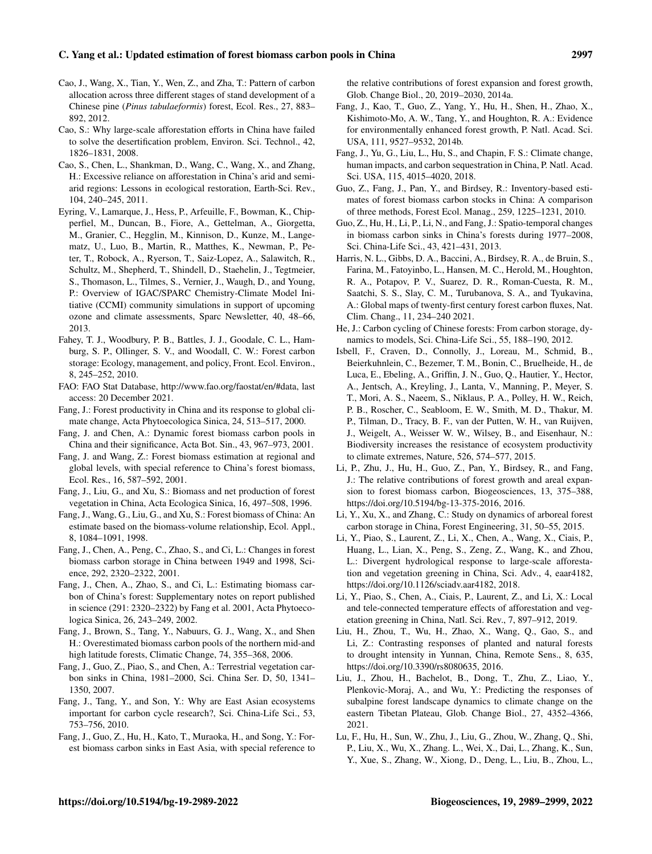## C. Yang et al.: Updated estimation of forest biomass carbon pools in China 2997

- Cao, J., Wang, X., Tian, Y., Wen, Z., and Zha, T.: Pattern of carbon allocation across three different stages of stand development of a Chinese pine (*Pinus tabulaeformis*) forest, Ecol. Res., 27, 883– 892, 2012.
- Cao, S.: Why large-scale afforestation efforts in China have failed to solve the desertification problem, Environ. Sci. Technol., 42, 1826–1831, 2008.
- Cao, S., Chen, L., Shankman, D., Wang, C., Wang, X., and Zhang, H.: Excessive reliance on afforestation in China's arid and semiarid regions: Lessons in ecological restoration, Earth-Sci. Rev., 104, 240–245, 2011.
- Eyring, V., Lamarque, J., Hess, P., Arfeuille, F., Bowman, K., Chipperfiel, M., Duncan, B., Fiore, A., Gettelman, A., Giorgetta, M., Granier, C., Hegglin, M., Kinnison, D., Kunze, M., Langematz, U., Luo, B., Martin, R., Matthes, K., Newman, P., Peter, T., Robock, A., Ryerson, T., Saiz-Lopez, A., Salawitch, R., Schultz, M., Shepherd, T., Shindell, D., Staehelin, J., Tegtmeier, S., Thomason, L., Tilmes, S., Vernier, J., Waugh, D., and Young, P.: Overview of IGAC/SPARC Chemistry-Climate Model Initiative (CCMI) community simulations in support of upcoming ozone and climate assessments, Sparc Newsletter, 40, 48–66, 2013.
- Fahey, T. J., Woodbury, P. B., Battles, J. J., Goodale, C. L., Hamburg, S. P., Ollinger, S. V., and Woodall, C. W.: Forest carbon storage: Ecology, management, and policy, Front. Ecol. Environ., 8, 245–252, 2010.
- FAO: FAO Stat Database, [http://www.fao.org/faostat/en/#data,](http://www.fao.org/faostat/en/#data) last access: 20 December 2021.
- Fang, J.: Forest productivity in China and its response to global climate change, Acta Phytoecologica Sinica, 24, 513–517, 2000.
- Fang, J. and Chen, A.: Dynamic forest biomass carbon pools in China and their significance, Acta Bot. Sin., 43, 967–973, 2001.
- Fang, J. and Wang, Z.: Forest biomass estimation at regional and global levels, with special reference to China's forest biomass, Ecol. Res., 16, 587–592, 2001.
- Fang, J., Liu, G., and Xu, S.: Biomass and net production of forest vegetation in China, Acta Ecologica Sinica, 16, 497–508, 1996.
- Fang, J., Wang, G., Liu, G., and Xu, S.: Forest biomass of China: An estimate based on the biomass-volume relationship, Ecol. Appl., 8, 1084–1091, 1998.
- Fang, J., Chen, A., Peng, C., Zhao, S., and Ci, L.: Changes in forest biomass carbon storage in China between 1949 and 1998, Science, 292, 2320–2322, 2001.
- Fang, J., Chen, A., Zhao, S., and Ci, L.: Estimating biomass carbon of China's forest: Supplementary notes on report published in science (291: 2320–2322) by Fang et al. 2001, Acta Phytoecologica Sinica, 26, 243–249, 2002.
- Fang, J., Brown, S., Tang, Y., Nabuurs, G. J., Wang, X., and Shen H.: Overestimated biomass carbon pools of the northern mid-and high latitude forests, Climatic Change, 74, 355–368, 2006.
- Fang, J., Guo, Z., Piao, S., and Chen, A.: Terrestrial vegetation carbon sinks in China, 1981–2000, Sci. China Ser. D, 50, 1341– 1350, 2007.
- Fang, J., Tang, Y., and Son, Y.: Why are East Asian ecosystems important for carbon cycle research?, Sci. China-Life Sci., 53, 753–756, 2010.
- Fang, J., Guo, Z., Hu, H., Kato, T., Muraoka, H., and Song, Y.: Forest biomass carbon sinks in East Asia, with special reference to

the relative contributions of forest expansion and forest growth, Glob. Change Biol., 20, 2019–2030, 2014a.

- Fang, J., Kao, T., Guo, Z., Yang, Y., Hu, H., Shen, H., Zhao, X., Kishimoto-Mo, A. W., Tang, Y., and Houghton, R. A.: Evidence for environmentally enhanced forest growth, P. Natl. Acad. Sci. USA, 111, 9527–9532, 2014b.
- Fang, J., Yu, G., Liu, L., Hu, S., and Chapin, F. S.: Climate change, human impacts, and carbon sequestration in China, P. Natl. Acad. Sci. USA, 115, 4015–4020, 2018.
- Guo, Z., Fang, J., Pan, Y., and Birdsey, R.: Inventory-based estimates of forest biomass carbon stocks in China: A comparison of three methods, Forest Ecol. Manag., 259, 1225–1231, 2010.
- Guo, Z., Hu, H., Li, P., Li, N., and Fang, J.: Spatio-temporal changes in biomass carbon sinks in China's forests during 1977–2008, Sci. China-Life Sci., 43, 421–431, 2013.
- Harris, N. L., Gibbs, D. A., Baccini, A., Birdsey, R. A., de Bruin, S., Farina, M., Fatoyinbo, L., Hansen, M. C., Herold, M., Houghton, R. A., Potapov, P. V., Suarez, D. R., Roman-Cuesta, R. M., Saatchi, S. S., Slay, C. M., Turubanova, S. A., and Tyukavina, A.: Global maps of twenty-first century forest carbon fluxes, Nat. Clim. Chang., 11, 234–240 2021.
- He, J.: Carbon cycling of Chinese forests: From carbon storage, dynamics to models, Sci. China-Life Sci., 55, 188–190, 2012.
- Isbell, F., Craven, D., Connolly, J., Loreau, M., Schmid, B., Beierkuhnlein, C., Bezemer, T. M., Bonin, C., Bruelheide, H., de Luca, E., Ebeling, A., Griffin, J. N., Guo, Q., Hautier, Y., Hector, A., Jentsch, A., Kreyling, J., Lanta, V., Manning, P., Meyer, S. T., Mori, A. S., Naeem, S., Niklaus, P. A., Polley, H. W., Reich, P. B., Roscher, C., Seabloom, E. W., Smith, M. D., Thakur, M. P., Tilman, D., Tracy, B. F., van der Putten, W. H., van Ruijven, J., Weigelt, A., Weisser W. W., Wilsey, B., and Eisenhaur, N.: Biodiversity increases the resistance of ecosystem productivity to climate extremes, Nature, 526, 574–577, 2015.
- Li, P., Zhu, J., Hu, H., Guo, Z., Pan, Y., Birdsey, R., and Fang, J.: The relative contributions of forest growth and areal expansion to forest biomass carbon, Biogeosciences, 13, 375–388, https://doi.org[/10.5194/bg-13-375-2016,](https://doi.org/10.5194/bg-13-375-2016) 2016.
- Li, Y., Xu, X., and Zhang, C.: Study on dynamics of arboreal forest carbon storage in China, Forest Engineering, 31, 50–55, 2015.
- Li, Y., Piao, S., Laurent, Z., Li, X., Chen, A., Wang, X., Ciais, P., Huang, L., Lian, X., Peng, S., Zeng, Z., Wang, K., and Zhou, L.: Divergent hydrological response to large-scale afforestation and vegetation greening in China, Sci. Adv., 4, eaar4182, https://doi.org[/10.1126/sciadv.aar4182,](https://doi.org/10.1126/sciadv.aar4182) 2018.
- Li, Y., Piao, S., Chen, A., Ciais, P., Laurent, Z., and Li, X.: Local and tele-connected temperature effects of afforestation and vegetation greening in China, Natl. Sci. Rev., 7, 897–912, 2019.
- Liu, H., Zhou, T., Wu, H., Zhao, X., Wang, Q., Gao, S., and Li, Z.: Contrasting responses of planted and natural forests to drought intensity in Yunnan, China, Remote Sens., 8, 635, https://doi.org[/10.3390/rs8080635,](https://doi.org/10.3390/rs8080635) 2016.
- Liu, J., Zhou, H., Bachelot, B., Dong, T., Zhu, Z., Liao, Y., Plenkovic-Moraj, A., and Wu, Y.: Predicting the responses of subalpine forest landscape dynamics to climate change on the eastern Tibetan Plateau, Glob. Change Biol., 27, 4352–4366, 2021.
- Lu, F., Hu, H., Sun, W., Zhu, J., Liu, G., Zhou, W., Zhang, Q., Shi, P., Liu, X., Wu, X., Zhang. L., Wei, X., Dai, L., Zhang, K., Sun, Y., Xue, S., Zhang, W., Xiong, D., Deng, L., Liu, B., Zhou, L.,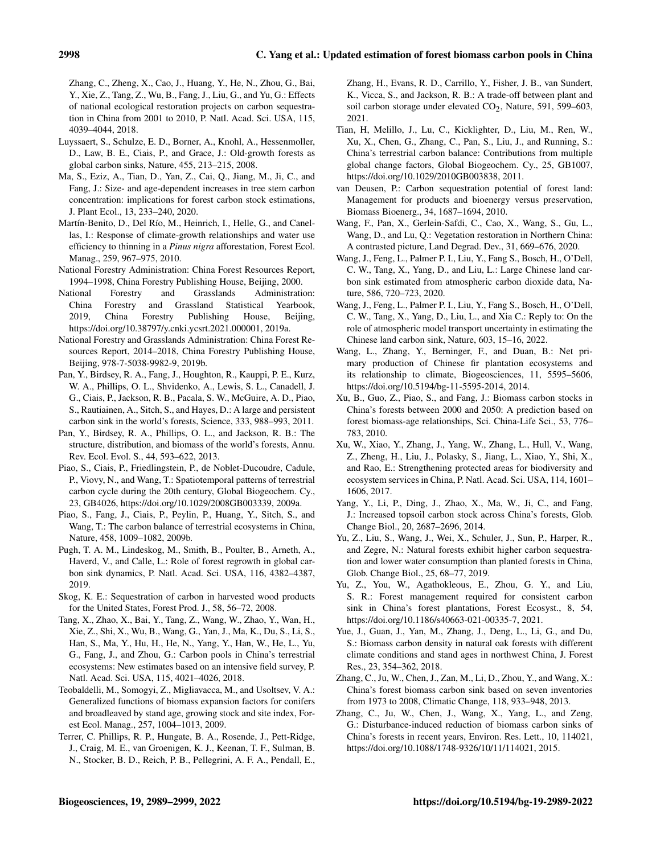Zhang, C., Zheng, X., Cao, J., Huang, Y., He, N., Zhou, G., Bai, Y., Xie, Z., Tang, Z., Wu, B., Fang, J., Liu, G., and Yu, G.: Effects of national ecological restoration projects on carbon sequestration in China from 2001 to 2010, P. Natl. Acad. Sci. USA, 115, 4039–4044, 2018.

- Luyssaert, S., Schulze, E. D., Borner, A., Knohl, A., Hessenmoller, D., Law, B. E., Ciais, P., and Grace, J.: Old-growth forests as global carbon sinks, Nature, 455, 213–215, 2008.
- Ma, S., Eziz, A., Tian, D., Yan, Z., Cai, Q., Jiang, M., Ji, C., and Fang, J.: Size- and age-dependent increases in tree stem carbon concentration: implications for forest carbon stock estimations, J. Plant Ecol., 13, 233–240, 2020.
- Martín-Benito, D., Del Río, M., Heinrich, I., Helle, G., and Canellas, I.: Response of climate-growth relationships and water use efficiency to thinning in a *Pinus nigra* afforestation, Forest Ecol. Manag., 259, 967–975, 2010.
- National Forestry Administration: China Forest Resources Report, 1994–1998, China Forestry Publishing House, Beijing, 2000.
- National Forestry and Grasslands Administration: China Forestry and Grassland Statistical Yearbook, 2019, China Forestry Publishing House, Beijing, https://doi.org[/10.38797/y.cnki.ycsrt.2021.000001,](https://doi.org/10.38797/y.cnki.ycsrt.2021.000001) 2019a.
- National Forestry and Grasslands Administration: China Forest Resources Report, 2014–2018, China Forestry Publishing House, Beijing, 978-7-5038-9982-9, 2019b.
- Pan, Y., Birdsey, R. A., Fang, J., Houghton, R., Kauppi, P. E., Kurz, W. A., Phillips, O. L., Shvidenko, A., Lewis, S. L., Canadell, J. G., Ciais, P., Jackson, R. B., Pacala, S. W., McGuire, A. D., Piao, S., Rautiainen, A., Sitch, S., and Hayes, D.: A large and persistent carbon sink in the world's forests, Science, 333, 988–993, 2011.
- Pan, Y., Birdsey, R. A., Phillips, O. L., and Jackson, R. B.: The structure, distribution, and biomass of the world's forests, Annu. Rev. Ecol. Evol. S., 44, 593–622, 2013.
- Piao, S., Ciais, P., Friedlingstein, P., de Noblet-Ducoudre, Cadule, P., Viovy, N., and Wang, T.: Spatiotemporal patterns of terrestrial carbon cycle during the 20th century, Global Biogeochem. Cy., 23, GB4026, https://doi.org[/10.1029/2008GB003339,](https://doi.org/10.1029/2008GB003339) 2009a.
- Piao, S., Fang, J., Ciais, P., Peylin, P., Huang, Y., Sitch, S., and Wang, T.: The carbon balance of terrestrial ecosystems in China, Nature, 458, 1009–1082, 2009b.
- Pugh, T. A. M., Lindeskog, M., Smith, B., Poulter, B., Arneth, A., Haverd, V., and Calle, L.: Role of forest regrowth in global carbon sink dynamics, P. Natl. Acad. Sci. USA, 116, 4382–4387, 2019.
- Skog, K. E.: Sequestration of carbon in harvested wood products for the United States, Forest Prod. J., 58, 56–72, 2008.
- Tang, X., Zhao, X., Bai, Y., Tang, Z., Wang, W., Zhao, Y., Wan, H., Xie, Z., Shi, X., Wu, B., Wang, G., Yan, J., Ma, K., Du, S., Li, S., Han, S., Ma, Y., Hu, H., He, N., Yang, Y., Han, W., He, L., Yu, G., Fang, J., and Zhou, G.: Carbon pools in China's terrestrial ecosystems: New estimates based on an intensive field survey, P. Natl. Acad. Sci. USA, 115, 4021–4026, 2018.
- Teobaldelli, M., Somogyi, Z., Migliavacca, M., and Usoltsev, V. A.: Generalized functions of biomass expansion factors for conifers and broadleaved by stand age, growing stock and site index, Forest Ecol. Manag., 257, 1004–1013, 2009.
- Terrer, C. Phillips, R. P., Hungate, B. A., Rosende, J., Pett-Ridge, J., Craig, M. E., van Groenigen, K. J., Keenan, T. F., Sulman, B. N., Stocker, B. D., Reich, P. B., Pellegrini, A. F. A., Pendall, E.,

Zhang, H., Evans, R. D., Carrillo, Y., Fisher, J. B., van Sundert, K., Vicca, S., and Jackson, R. B.: A trade-off between plant and soil carbon storage under elevated  $CO<sub>2</sub>$ , Nature, 591, 599–603, 2021.

- Tian, H, Melillo, J., Lu, C., Kicklighter, D., Liu, M., Ren, W., Xu, X., Chen, G., Zhang, C., Pan, S., Liu, J., and Running, S.: China's terrestrial carbon balance: Contributions from multiple global change factors, Global Biogeochem. Cy., 25, GB1007, https://doi.org[/10.1029/2010GB003838,](https://doi.org/10.1029/2010GB003838) 2011.
- van Deusen, P.: Carbon sequestration potential of forest land: Management for products and bioenergy versus preservation, Biomass Bioenerg., 34, 1687–1694, 2010.
- Wang, F., Pan, X., Gerlein-Safdi, C., Cao, X., Wang, S., Gu, L., Wang, D., and Lu, Q.: Vegetation restoration in Northern China: A contrasted picture, Land Degrad. Dev., 31, 669–676, 2020.
- Wang, J., Feng, L., Palmer P. I., Liu, Y., Fang S., Bosch, H., O'Dell, C. W., Tang, X., Yang, D., and Liu, L.: Large Chinese land carbon sink estimated from atmospheric carbon dioxide data, Nature, 586, 720–723, 2020.
- Wang, J., Feng, L., Palmer P. I., Liu, Y., Fang S., Bosch, H., O'Dell, C. W., Tang, X., Yang, D., Liu, L., and Xia C.: Reply to: On the role of atmospheric model transport uncertainty in estimating the Chinese land carbon sink, Nature, 603, 15–16, 2022.
- Wang, L., Zhang, Y., Berninger, F., and Duan, B.: Net primary production of Chinese fir plantation ecosystems and its relationship to climate, Biogeosciences, 11, 5595–5606, https://doi.org[/10.5194/bg-11-5595-2014,](https://doi.org/10.5194/bg-11-5595-2014) 2014.
- Xu, B., Guo, Z., Piao, S., and Fang, J.: Biomass carbon stocks in China's forests between 2000 and 2050: A prediction based on forest biomass-age relationships, Sci. China-Life Sci., 53, 776– 783, 2010.
- Xu, W., Xiao, Y., Zhang, J., Yang, W., Zhang, L., Hull, V., Wang, Z., Zheng, H., Liu, J., Polasky, S., Jiang, L., Xiao, Y., Shi, X., and Rao, E.: Strengthening protected areas for biodiversity and ecosystem services in China, P. Natl. Acad. Sci. USA, 114, 1601– 1606, 2017.
- Yang, Y., Li, P., Ding, J., Zhao, X., Ma, W., Ji, C., and Fang, J.: Increased topsoil carbon stock across China's forests, Glob. Change Biol., 20, 2687–2696, 2014.
- Yu, Z., Liu, S., Wang, J., Wei, X., Schuler, J., Sun, P., Harper, R., and Zegre, N.: Natural forests exhibit higher carbon sequestration and lower water consumption than planted forests in China, Glob. Change Biol., 25, 68–77, 2019.
- Yu, Z., You, W., Agathokleous, E., Zhou, G. Y., and Liu, S. R.: Forest management required for consistent carbon sink in China's forest plantations, Forest Ecosyst., 8, 54, https://doi.org[/10.1186/s40663-021-00335-7,](https://doi.org/10.1186/s40663-021-00335-7) 2021.
- Yue, J., Guan, J., Yan, M., Zhang, J., Deng, L., Li, G., and Du, S.: Biomass carbon density in natural oak forests with different climate conditions and stand ages in northwest China, J. Forest Res., 23, 354–362, 2018.
- Zhang, C., Ju, W., Chen, J., Zan, M., Li, D., Zhou, Y., and Wang, X.: China's forest biomass carbon sink based on seven inventories from 1973 to 2008, Climatic Change, 118, 933–948, 2013.
- Zhang, C., Ju, W., Chen, J., Wang, X., Yang, L., and Zeng, G.: Disturbance-induced reduction of biomass carbon sinks of China's forests in recent years, Environ. Res. Lett., 10, 114021, https://doi.org[/10.1088/1748-9326/10/11/114021,](https://doi.org/10.1088/1748-9326/10/11/114021) 2015.